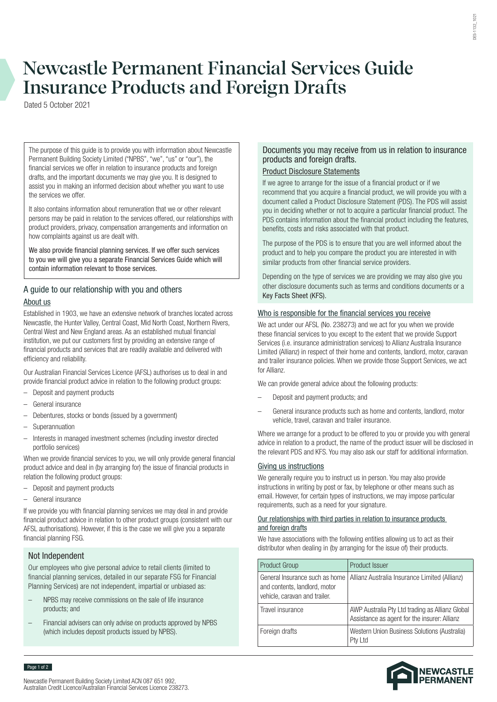# **Newcastle Permanent Financial Services Guide Insurance Products and Foreign Drafts**

Dated 5 October 2021

The purpose of this guide is to provide you with information about Newcastle Permanent Building Society Limited ("NPBS", "we", "us" or "our"), the financial services we offer in relation to insurance products and foreign drafts, and the important documents we may give you. It is designed to assist you in making an informed decision about whether you want to use the services we offer.

It also contains information about remuneration that we or other relevant persons may be paid in relation to the services offered, our relationships with product providers, privacy, compensation arrangements and information on how complaints against us are dealt with.

We also provide financial planning services. If we offer such services to you we will give you a separate Financial Services Guide which will contain information relevant to those services.

# A guide to our relationship with you and others About us

Established in 1903, we have an extensive network of branches located across Newcastle, the Hunter Valley, Central Coast, Mid North Coast, Northern Rivers, Central West and New England areas. As an established mutual financial institution, we put our customers first by providing an extensive range of financial products and services that are readily available and delivered with efficiency and reliability.

Our Australian Financial Services Licence (AFSL) authorises us to deal in and provide financial product advice in relation to the following product groups:

- Deposit and payment products
- General insurance
- Debentures, stocks or bonds (issued by a government)
- **Superannuation**
- Interests in managed investment schemes (including investor directed portfolio services)

When we provide financial services to you, we will only provide general financial product advice and deal in (by arranging for) the issue of financial products in relation the following product groups:

- Deposit and payment products
- General insurance

If we provide you with financial planning services we may deal in and provide financial product advice in relation to other product groups (consistent with our AFSL authorisations). However, if this is the case we will give you a separate financial planning FSG.

# Not Independent

Page 1 of 2

Our employees who give personal advice to retail clients (limited to financial planning services, detailed in our separate FSG for Financial Planning Services) are not independent, impartial or unbiased as:

- NPBS may receive commissions on the sale of life insurance products; and
- Financial advisers can only advise on products approved by NPBS (which includes deposit products issued by NPBS).

## Documents you may receive from us in relation to insurance products and foreign drafts.

# Product Disclosure Statements

If we agree to arrange for the issue of a financial product or if we recommend that you acquire a financial product, we will provide you with a document called a Product Disclosure Statement (PDS). The PDS will assist you in deciding whether or not to acquire a particular financial product. The PDS contains information about the financial product including the features, benefits, costs and risks associated with that product.

The purpose of the PDS is to ensure that you are well informed about the product and to help you compare the product you are interested in with similar products from other financial service providers.

Depending on the type of services we are providing we may also give you other disclosure documents such as terms and conditions documents or a Key Facts Sheet (KFS).

## Who is responsible for the financial services you receive

We act under our AFSL (No. 238273) and we act for you when we provide these financial services to you except to the extent that we provide Support Services (i.e. insurance administration services) to Allianz Australia Insurance Limited (Allianz) in respect of their home and contents, landlord, motor, caravan and trailer insurance policies. When we provide those Support Services, we act for Allianz.

We can provide general advice about the following products:

- Deposit and payment products; and
- General insurance products such as home and contents, landlord, motor vehicle, travel, caravan and trailer insurance.

Where we arrange for a product to be offered to you or provide you with general advice in relation to a product, the name of the product issuer will be disclosed in the relevant PDS and KFS. You may also ask our staff for additional information.

## Giving us instructions

We generally require you to instruct us in person. You may also provide instructions in writing by post or fax, by telephone or other means such as email. However, for certain types of instructions, we may impose particular requirements, such as a need for your signature.

#### Our relationships with third parties in relation to insurance products and foreign drafts

We have associations with the following entities allowing us to act as their distributor when dealing in (by arranging for the issue of) their products.

| <b>Product Group</b>                                                                             | <b>Product Issuer</b>                                                                           |
|--------------------------------------------------------------------------------------------------|-------------------------------------------------------------------------------------------------|
| General Insurance such as home<br>and contents, landlord, motor<br>vehicle, caravan and trailer. | Allianz Australia Insurance Limited (Allianz)                                                   |
| Travel insurance                                                                                 | AWP Australia Pty Ltd trading as Allianz Global<br>Assistance as agent for the insurer: Allianz |
| Foreign drafts                                                                                   | Western Union Business Solutions (Australia)<br>Pty Ltd                                         |